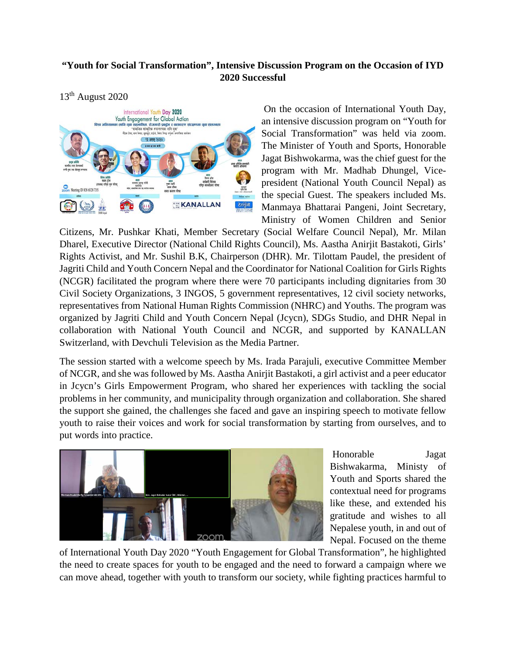## **"Youth for Social Transformation", Intensive Discussion Program on the Occasion of IYD 2020 Successful**

## 13th August 2020



On the occasion of International Youth Day, an intensive discussion program on "Youth for Social Transformation" was held via zoom. The Minister of Youth and Sports, Honorable Jagat Bishwokarma, was the chief guest for the program with Mr. Madhab Dhungel, Vicepresident (National Youth Council Nepal) as the special Guest. The speakers included Ms. Manmaya Bhattarai Pangeni, Joint Secretary, Ministry of Women Children and Senior

Citizens, Mr. Pushkar Khati, Member Secretary (Social Welfare Council Nepal), Mr. Milan Dharel, Executive Director (National Child Rights Council), Ms. Aastha Anirjit Bastakoti, Girls' Rights Activist, and Mr. Sushil B.K, Chairperson (DHR). Mr. Tilottam Paudel, the president of Jagriti Child and Youth Concern Nepal and the Coordinator for National Coalition for Girls Rights (NCGR) facilitated the program where there were 70 participants including dignitaries from 30 Civil Society Organizations, 3 INGOS, 5 government representatives, 12 civil society networks, representatives from National Human Rights Commission (NHRC) and Youths. The program was organized by Jagriti Child and Youth Concern Nepal (Jcycn), SDGs Studio, and DHR Nepal in collaboration with National Youth Council and NCGR, and supported by KANALLAN Switzerland, with Devchuli Television as the Media Partner.

The session started with a welcome speech by Ms. Irada Parajuli, executive Committee Member of NCGR, and she was followed by Ms. Aastha Anirjit Bastakoti, a girl activist and a peer educator in Jcycn's Girls Empowerment Program, who shared her experiences with tackling the social problems in her community, and municipality through organization and collaboration. She shared the support she gained, the challenges she faced and gave an inspiring speech to motivate fellow youth to raise their voices and work for social transformation by starting from ourselves, and to put words into practice.



Honorable Jagat Bishwakarma, Ministy of Youth and Sports shared the contextual need for programs like these, and extended his gratitude and wishes to all Nepalese youth, in and out of Nepal. Focused on the theme

of International Youth Day 2020 "Youth Engagement for Global Transformation", he highlighted the need to create spaces for youth to be engaged and the need to forward a campaign where we can move ahead, together with youth to transform our society, while fighting practices harmful to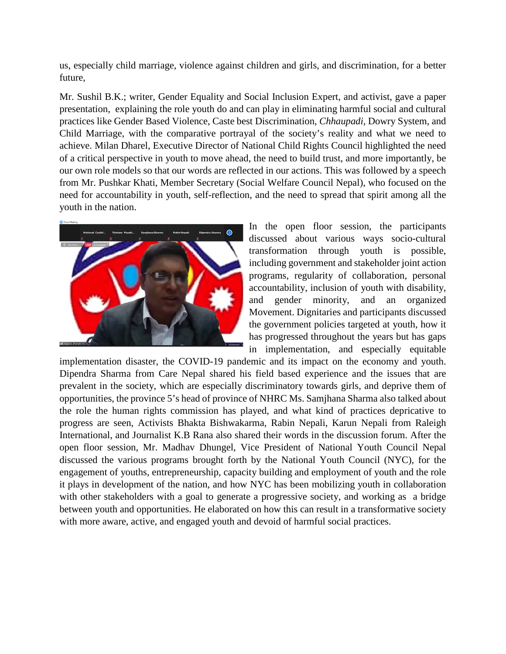us, especially child marriage, violence against children and girls, and discrimination, for a better future,

Mr. Sushil B.K.; writer, Gender Equality and Social Inclusion Expert, and activist, gave a paper presentation, explaining the role youth do and can play in eliminating harmful social and cultural practices like Gender Based Violence, Caste best Discrimination, *Chhaupadi,* Dowry System, and Child Marriage, with the comparative portrayal of the society's reality and what we need to achieve. Milan Dharel, Executive Director of National Child Rights Council highlighted the need of a critical perspective in youth to move ahead, the need to build trust, and more importantly, be our own role models so that our words are reflected in our actions. This was followed by a speech from Mr. Pushkar Khati, Member Secretary (Social Welfare Council Nepal), who focused on the need for accountability in youth, self-reflection, and the need to spread that spirit among all the youth in the nation.



In the open floor session, the participants discussed about various ways socio-cultural transformation through youth is possible, including government and stakeholder joint action programs, regularity of collaboration, personal accountability, inclusion of youth with disability, and gender minority, and an organized Movement. Dignitaries and participants discussed the government policies targeted at youth, how it has progressed throughout the years but has gaps in implementation, and especially equitable

implementation disaster, the COVID-19 pandemic and its impact on the economy and youth. Dipendra Sharma from Care Nepal shared his field based experience and the issues that are prevalent in the society, which are especially discriminatory towards girls, and deprive them of opportunities, the province 5's head of province of NHRC Ms. Samjhana Sharma also talked about the role the human rights commission has played, and what kind of practices depricative to progress are seen, Activists Bhakta Bishwakarma, Rabin Nepali, Karun Nepali from Raleigh International, and Journalist K.B Rana also shared their words in the discussion forum. After the open floor session, Mr. Madhav Dhungel, Vice President of National Youth Council Nepal discussed the various programs brought forth by the National Youth Council (NYC), for the engagement of youths, entrepreneurship, capacity building and employment of youth and the role it plays in development of the nation, and how NYC has been mobilizing youth in collaboration with other stakeholders with a goal to generate a progressive society, and working as a bridge between youth and opportunities. He elaborated on how this can result in a transformative society with more aware, active, and engaged youth and devoid of harmful social practices.